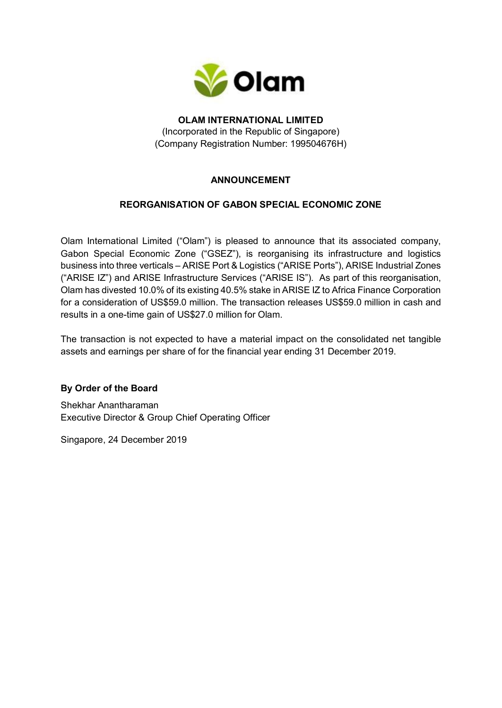

### **OLAM INTERNATIONAL LIMITED** (Incorporated in the Republic of Singapore) (Company Registration Number: 199504676H)

# **ANNOUNCEMENT**

## **REORGANISATION OF GABON SPECIAL ECONOMIC ZONE**

Olam International Limited ("Olam") is pleased to announce that its associated company, Gabon Special Economic Zone ("GSEZ"), is reorganising its infrastructure and logistics business into three verticals – ARISE Port & Logistics ("ARISE Ports"), ARISE Industrial Zones ("ARISE IZ") and ARISE Infrastructure Services ("ARISE IS"). As part of this reorganisation, Olam has divested 10.0% of its existing 40.5% stake in ARISE IZ to Africa Finance Corporation for a consideration of US\$59.0 million. The transaction releases US\$59.0 million in cash and results in a one-time gain of US\$27.0 million for Olam.

The transaction is not expected to have a material impact on the consolidated net tangible assets and earnings per share of for the financial year ending 31 December 2019.

## **By Order of the Board**

Shekhar Anantharaman Executive Director & Group Chief Operating Officer

Singapore, 24 December 2019